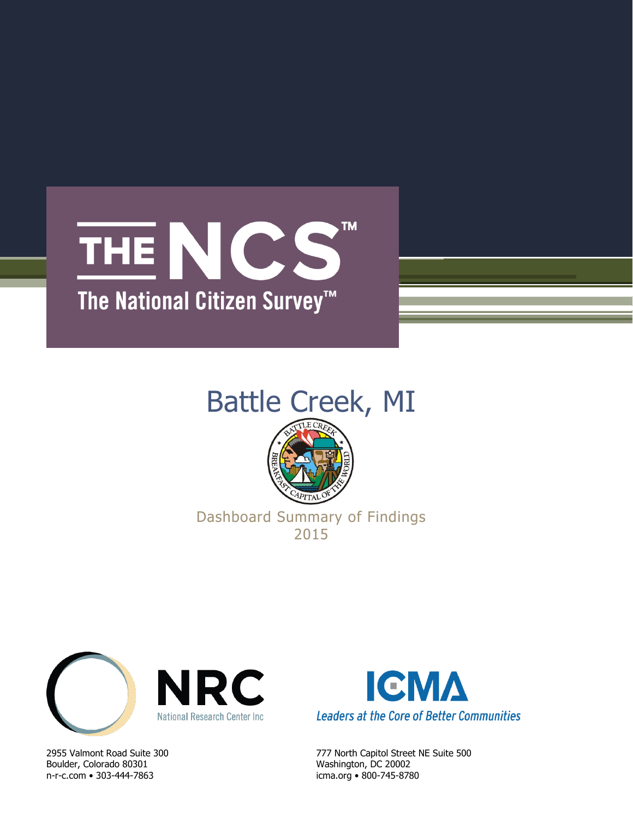### **TM** THE NCS The National Citizen Survey<sup>™</sup>

# Battle Creek, MI



### Dashboard Summary of Findings 2015



Boulder, Colorado 80301 Washington, DC 20002 n-r-c.com • 303-444-7863 icma.org • 800-745-8780



2955 Valmont Road Suite 300 777 North Capitol Street NE Suite 500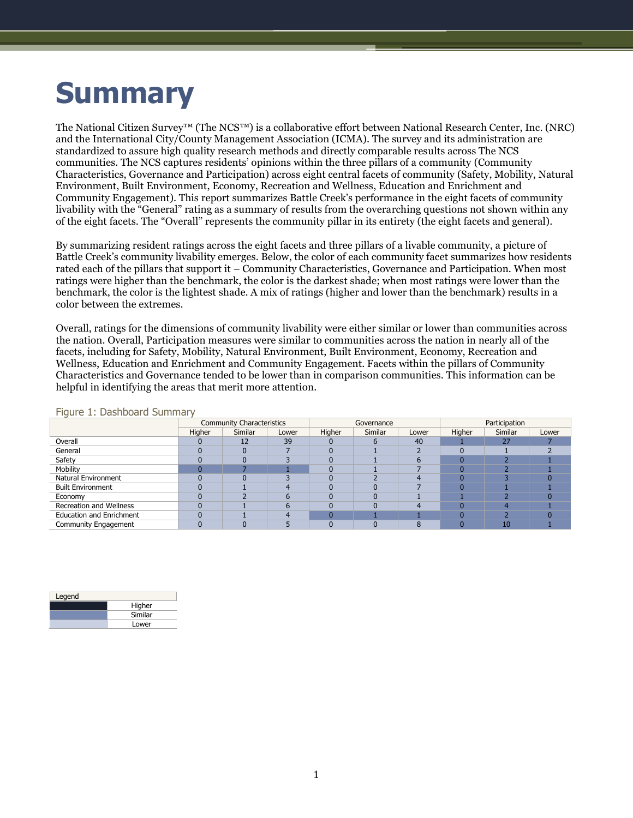## **Summary**

The National Citizen Survey™ (The NCS™) is a collaborative effort between National Research Center, Inc. (NRC) and the International City/County Management Association (ICMA). The survey and its administration are standardized to assure high quality research methods and directly comparable results across The NCS communities. The NCS captures residents' opinions within the three pillars of a community (Community Characteristics, Governance and Participation) across eight central facets of community (Safety, Mobility, Natural Environment, Built Environment, Economy, Recreation and Wellness, Education and Enrichment and Community Engagement). This report summarizes Battle Creek's performance in the eight facets of community livability with the "General" rating as a summary of results from the overarching questions not shown within any of the eight facets. The "Overall" represents the community pillar in its entirety (the eight facets and general).

By summarizing resident ratings across the eight facets and three pillars of a livable community, a picture of Battle Creek's community livability emerges. Below, the color of each community facet summarizes how residents rated each of the pillars that support it – Community Characteristics, Governance and Participation. When most ratings were higher than the benchmark, the color is the darkest shade; when most ratings were lower than the benchmark, the color is the lightest shade. A mix of ratings (higher and lower than the benchmark) results in a color between the extremes.

Overall, ratings for the dimensions of community livability were either similar or lower than communities across the nation. Overall, Participation measures were similar to communities across the nation in nearly all of the facets, including for Safety, Mobility, Natural Environment, Built Environment, Economy, Recreation and Wellness, Education and Enrichment and Community Engagement. Facets within the pillars of Community Characteristics and Governance tended to be lower than in comparison communities. This information can be helpful in identifying the areas that merit more attention.

|                                 | <b>Community Characteristics</b> |         |       |        | Governance |       | Participation |         |       |
|---------------------------------|----------------------------------|---------|-------|--------|------------|-------|---------------|---------|-------|
|                                 | Higher                           | Similar | Lower | Higher | Similar    | Lower | Higher        | Similar | Lower |
| Overall                         |                                  | 12      | 39    |        |            | 40    |               | 27      |       |
| General                         |                                  |         |       |        |            |       |               |         |       |
| Safety                          |                                  |         |       |        |            |       |               |         |       |
| Mobility                        |                                  |         |       |        |            |       |               |         |       |
| Natural Environment             |                                  |         |       |        |            |       |               |         |       |
| <b>Built Environment</b>        |                                  |         |       |        |            |       |               |         |       |
| Economy                         |                                  |         |       |        |            |       |               |         |       |
| <b>Recreation and Wellness</b>  |                                  |         |       |        |            |       |               |         |       |
| <b>Education and Enrichment</b> |                                  |         |       |        |            |       |               |         |       |
| Community Engagement            |                                  |         |       |        |            |       |               | 10      |       |

#### Figure 1: Dashboard Summary

| Legend |         |
|--------|---------|
|        | Higher  |
|        | Similar |
|        | Lower   |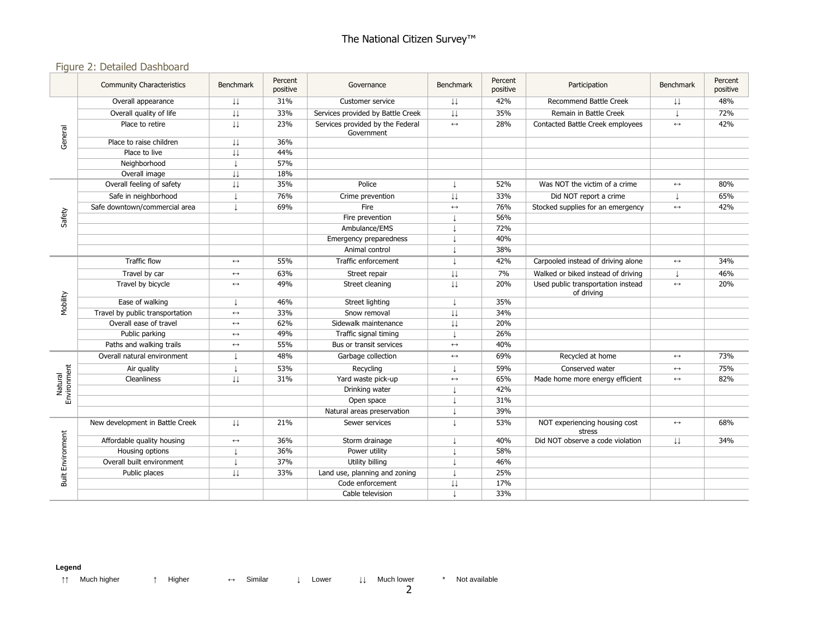#### Figure 2: Detailed Dashboard

|                                                         | <b>Community Characteristics</b> | <b>Benchmark</b>        | Percent<br>positive | Governance                                     | Benchmark               | Percent<br>positive | Participation                                    | <b>Benchmark</b>  | Percent<br>positive |
|---------------------------------------------------------|----------------------------------|-------------------------|---------------------|------------------------------------------------|-------------------------|---------------------|--------------------------------------------------|-------------------|---------------------|
|                                                         | Overall appearance               | Ψ                       | 31%                 | Customer service                               | $\downarrow \downarrow$ | 42%                 | <b>Recommend Battle Creek</b>                    | Ψ                 | 48%                 |
|                                                         | Overall quality of life          | $\downarrow \downarrow$ | 33%                 | Services provided by Battle Creek              | $\downarrow\downarrow$  | 35%                 | Remain in Battle Creek                           | $\perp$           | 72%                 |
|                                                         | Place to retire                  | ιı                      | 23%                 | Services provided by the Federal<br>Government | $\longleftrightarrow$   | 28%                 | Contacted Battle Creek employees                 | $\leftrightarrow$ | 42%                 |
|                                                         | Place to raise children          | Ψ                       | 36%                 |                                                |                         |                     |                                                  |                   |                     |
|                                                         | Place to live                    | $\downarrow \downarrow$ | 44%                 |                                                |                         |                     |                                                  |                   |                     |
|                                                         | Neighborhood                     |                         | 57%                 |                                                |                         |                     |                                                  |                   |                     |
|                                                         | Overall image                    | J.I.                    | 18%                 |                                                |                         |                     |                                                  |                   |                     |
|                                                         | Overall feeling of safety        | IJ                      | 35%                 | Police                                         |                         | 52%                 | Was NOT the victim of a crime                    | $\leftrightarrow$ | 80%                 |
|                                                         | Safe in neighborhood             |                         | 76%                 | Crime prevention                               | ΙJ                      | 33%                 | Did NOT report a crime                           |                   | 65%                 |
|                                                         | Safe downtown/commercial area    | $\perp$                 | 69%                 | Fire                                           | $\longleftrightarrow$   | 76%                 | Stocked supplies for an emergency                | $\leftrightarrow$ | 42%                 |
|                                                         |                                  |                         |                     | Fire prevention                                |                         | 56%                 |                                                  |                   |                     |
|                                                         |                                  |                         |                     | Ambulance/EMS                                  |                         | 72%                 |                                                  |                   |                     |
|                                                         |                                  |                         |                     | Emergency preparedness                         |                         | 40%                 |                                                  |                   |                     |
| General<br>Safety<br>Mobility<br>Environment<br>Natural |                                  |                         |                     | Animal control                                 |                         | 38%                 |                                                  |                   |                     |
|                                                         | <b>Traffic flow</b>              | $\leftrightarrow$       | 55%                 | Traffic enforcement                            |                         | 42%                 | Carpooled instead of driving alone               | $\leftrightarrow$ | 34%                 |
|                                                         | Travel by car                    | $\leftrightarrow$       | 63%                 | Street repair                                  | $\downarrow\downarrow$  | 7%                  | Walked or biked instead of driving               |                   | 46%                 |
|                                                         | Travel by bicycle                | $\leftrightarrow$       | 49%                 | Street cleaning                                | $\downarrow \downarrow$ | 20%                 | Used public transportation instead<br>of driving | $\leftrightarrow$ | 20%                 |
|                                                         | Ease of walking                  |                         | 46%                 | Street lighting                                |                         | 35%                 |                                                  |                   |                     |
|                                                         | Travel by public transportation  | $\leftrightarrow$       | 33%                 | Snow removal                                   | $\downarrow\downarrow$  | 34%                 |                                                  |                   |                     |
|                                                         | Overall ease of travel           | $\leftrightarrow$       | 62%                 | Sidewalk maintenance                           | $\downarrow\downarrow$  | 20%                 |                                                  |                   |                     |
|                                                         | Public parking                   | $\leftrightarrow$       | 49%                 | Traffic signal timing                          |                         | 26%                 |                                                  |                   |                     |
|                                                         | Paths and walking trails         | $\leftrightarrow$       | 55%                 | Bus or transit services                        | $\leftrightarrow$       | 40%                 |                                                  |                   |                     |
|                                                         | Overall natural environment      |                         | 48%                 | Garbage collection                             | $\longleftrightarrow$   | 69%                 | Recycled at home                                 | $\leftrightarrow$ | 73%                 |
|                                                         | Air quality                      |                         | 53%                 | Recycling                                      |                         | 59%                 | Conserved water                                  | $\leftrightarrow$ | 75%                 |
|                                                         | Cleanliness                      | ιı                      | 31%                 | Yard waste pick-up                             | $\leftrightarrow$       | 65%                 | Made home more energy efficient                  | $\leftrightarrow$ | 82%                 |
|                                                         |                                  |                         |                     | Drinking water                                 |                         | 42%                 |                                                  |                   |                     |
|                                                         |                                  |                         |                     | Open space                                     |                         | 31%                 |                                                  |                   |                     |
|                                                         |                                  |                         |                     | Natural areas preservation                     |                         | 39%                 |                                                  |                   |                     |
|                                                         | New development in Battle Creek  | ιı                      | 21%                 | Sewer services                                 |                         | 53%                 | NOT experiencing housing cost<br>stress          | $\leftrightarrow$ | 68%                 |
| <b>Built Environment</b>                                | Affordable quality housing       | $\longleftrightarrow$   | 36%                 | Storm drainage                                 |                         | 40%                 | Did NOT observe a code violation                 | Ψ                 | 34%                 |
|                                                         | Housing options                  |                         | 36%                 | Power utility                                  |                         | 58%                 |                                                  |                   |                     |
|                                                         | Overall built environment        |                         | 37%                 | Utility billing                                |                         | 46%                 |                                                  |                   |                     |
|                                                         | Public places                    | IJ                      | 33%                 | Land use, planning and zoning                  |                         | 25%                 |                                                  |                   |                     |
|                                                         |                                  |                         |                     | Code enforcement                               | $\downarrow\downarrow$  | 17%                 |                                                  |                   |                     |
|                                                         |                                  |                         |                     | Cable television                               |                         | 33%                 |                                                  |                   |                     |

#### **Legend**

↑↑ Much higher ↑ Higher ↔ Similar ↓ Lower ↓↓ Much lower \* Not available

2